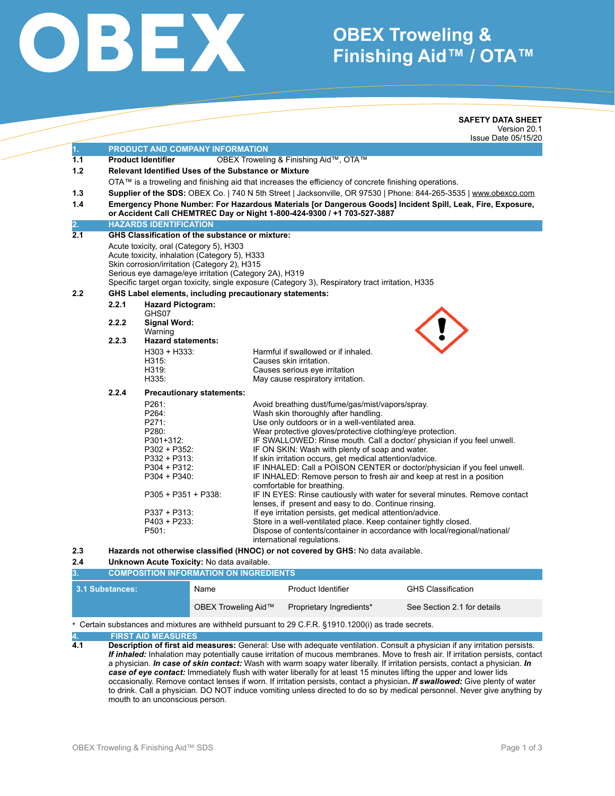# OBEX

## **OBEX Troweling & Finishing Aid™ / OTA™**

|                  |                                                                                                            |                                                                                                                                                             | <b>SAFETY DATA SHEET</b>                                                                                         |  |  |  |
|------------------|------------------------------------------------------------------------------------------------------------|-------------------------------------------------------------------------------------------------------------------------------------------------------------|------------------------------------------------------------------------------------------------------------------|--|--|--|
|                  |                                                                                                            |                                                                                                                                                             | Version 20.1                                                                                                     |  |  |  |
|                  |                                                                                                            |                                                                                                                                                             | Issue Date 05/15/20                                                                                              |  |  |  |
| 1.               | PRODUCT AND COMPANY INFORMATION                                                                            |                                                                                                                                                             |                                                                                                                  |  |  |  |
| 1.1              |                                                                                                            | <b>Product Identifier</b>                                                                                                                                   | OBEX Troweling & Finishing Aid™, OTA™                                                                            |  |  |  |
| 1.2              |                                                                                                            | <b>Relevant Identified Uses of the Substance or Mixture</b>                                                                                                 |                                                                                                                  |  |  |  |
|                  | OTA™ is a troweling and finishing aid that increases the efficiency of concrete finishing operations.      |                                                                                                                                                             |                                                                                                                  |  |  |  |
| 1.3              |                                                                                                            |                                                                                                                                                             | Supplier of the SDS: OBEX Co.   740 N 5th Street   Jacksonville, OR 97530   Phone: 844-265-3535   www.obexco.com |  |  |  |
| 1.4              | Emergency Phone Number: For Hazardous Materials [or Dangerous Goods] Incident Spill, Leak, Fire, Exposure, |                                                                                                                                                             |                                                                                                                  |  |  |  |
|                  | or Accident Call CHEMTREC Day or Night 1-800-424-9300 / +1 703-527-3887                                    |                                                                                                                                                             |                                                                                                                  |  |  |  |
| 2.               | <b>HAZARDS IDENTIFICATION</b>                                                                              |                                                                                                                                                             |                                                                                                                  |  |  |  |
| 2.1              | <b>GHS Classification of the substance or mixture:</b>                                                     |                                                                                                                                                             |                                                                                                                  |  |  |  |
|                  | Acute toxicity, oral (Category 5), H303                                                                    |                                                                                                                                                             |                                                                                                                  |  |  |  |
|                  | Acute toxicity, inhalation (Category 5), H333                                                              |                                                                                                                                                             |                                                                                                                  |  |  |  |
|                  | Skin corrosion/irritation (Category 2), H315                                                               |                                                                                                                                                             |                                                                                                                  |  |  |  |
|                  | Serious eye damage/eye irritation (Category 2A), H319                                                      |                                                                                                                                                             |                                                                                                                  |  |  |  |
|                  |                                                                                                            | Specific target organ toxicity, single exposure (Category 3), Respiratory tract irritation, H335<br>GHS Label elements, including precautionary statements: |                                                                                                                  |  |  |  |
| 2.2              |                                                                                                            |                                                                                                                                                             |                                                                                                                  |  |  |  |
|                  | 2.2.1                                                                                                      | <b>Hazard Pictogram:</b><br>GHS07                                                                                                                           |                                                                                                                  |  |  |  |
|                  | 2.2.2                                                                                                      | Signal Word:                                                                                                                                                |                                                                                                                  |  |  |  |
|                  |                                                                                                            | Warning                                                                                                                                                     |                                                                                                                  |  |  |  |
|                  | 2.2.3                                                                                                      | <b>Hazard statements:</b>                                                                                                                                   |                                                                                                                  |  |  |  |
|                  |                                                                                                            | $H303 + H333:$                                                                                                                                              | Harmful if swallowed or if inhaled.                                                                              |  |  |  |
|                  |                                                                                                            | H315:                                                                                                                                                       | Causes skin irritation.                                                                                          |  |  |  |
|                  |                                                                                                            | H319:                                                                                                                                                       | Causes serious eye irritation                                                                                    |  |  |  |
|                  |                                                                                                            | H335:                                                                                                                                                       | May cause respiratory irritation.                                                                                |  |  |  |
|                  | 2.2.4<br><b>Precautionary statements:</b>                                                                  |                                                                                                                                                             |                                                                                                                  |  |  |  |
|                  |                                                                                                            | P261:                                                                                                                                                       | Avoid breathing dust/fume/gas/mist/vapors/spray.                                                                 |  |  |  |
|                  |                                                                                                            | P264:                                                                                                                                                       | Wash skin thoroughly after handling.                                                                             |  |  |  |
|                  |                                                                                                            | P271:                                                                                                                                                       | Use only outdoors or in a well-ventilated area.                                                                  |  |  |  |
|                  |                                                                                                            | P280:                                                                                                                                                       | Wear protective gloves/protective clothing/eye protection.                                                       |  |  |  |
|                  |                                                                                                            | P301+312:                                                                                                                                                   | IF SWALLOWED: Rinse mouth. Call a doctor/ physician if you feel unwell.                                          |  |  |  |
|                  |                                                                                                            | P302 + P352:<br>$P332 + P313$ :                                                                                                                             | IF ON SKIN: Wash with plenty of soap and water.<br>If skin irritation occurs, get medical attention/advice.      |  |  |  |
|                  |                                                                                                            | P304 + P312:                                                                                                                                                | IF INHALED: Call a POISON CENTER or doctor/physician if you feel unwell.                                         |  |  |  |
|                  |                                                                                                            | $P304 + P340$ :                                                                                                                                             | IF INHALED: Remove person to fresh air and keep at rest in a position                                            |  |  |  |
|                  |                                                                                                            |                                                                                                                                                             | comfortable for breathing.                                                                                       |  |  |  |
|                  |                                                                                                            | $P305 + P351 + P338$                                                                                                                                        | IF IN EYES: Rinse cautiously with water for several minutes. Remove contact                                      |  |  |  |
|                  |                                                                                                            |                                                                                                                                                             | lenses, if present and easy to do. Continue rinsing.                                                             |  |  |  |
|                  |                                                                                                            | P337 + P313:                                                                                                                                                | If eye irritation persists, get medical attention/advice.                                                        |  |  |  |
|                  |                                                                                                            | P403 + P233:                                                                                                                                                | Store in a well-ventilated place. Keep container tightly closed.                                                 |  |  |  |
|                  |                                                                                                            | P501:                                                                                                                                                       | Dispose of contents/container in accordance with local/regional/national/<br>international regulations.          |  |  |  |
| 2.3              |                                                                                                            |                                                                                                                                                             | Hazards not otherwise classified (HNOC) or not covered by GHS: No data available.                                |  |  |  |
| 2.4              | Unknown Acute Toxicity: No data available.                                                                 |                                                                                                                                                             |                                                                                                                  |  |  |  |
| $\overline{3}$ . | <b>COMPOSITION INFORMATION ON INGREDIENTS</b>                                                              |                                                                                                                                                             |                                                                                                                  |  |  |  |
|                  |                                                                                                            |                                                                                                                                                             |                                                                                                                  |  |  |  |

| 3.1 Substances:                                                                                           | Name                | Product Identifier       | <b>GHS Classification</b>   |  |  |  |
|-----------------------------------------------------------------------------------------------------------|---------------------|--------------------------|-----------------------------|--|--|--|
|                                                                                                           | OBEX Troweling Aid™ | Proprietary Ingredients* | See Section 2.1 for details |  |  |  |
| $\star$ Cortain substances and mixtures are withhold pursuant to 20 C E D, 84040 4200(i) as trade secrets |                     |                          |                             |  |  |  |

ances and mixtures are withheld pursuant to 29 C.F.R. §1910.1200(i) as trade secrets.

**4. FIRST AID MEASURES 4.1 Description of first aid measures:** General: Use with adequate ventilation. Consult a physician if any irritation persists. *If inhaled:* Inhalation may potentially cause irritation of mucous membranes. Move to fresh air. If irritation persists, contact a physician. *In case of skin contact:* Wash with warm soapy water liberally. If irritation persists, contact a physician. *In case of eye contact:* Immediately flush with water liberally for at least 15 minutes lifting the upper and lower lids occasionally. Remove contact lenses if worn. If irritation persists, contact a physician**.** *If swallowed:* Give plenty of water to drink. Call a physician. DO NOT induce vomiting unless directed to do so by medical personnel. Never give anything by mouth to an unconscious person.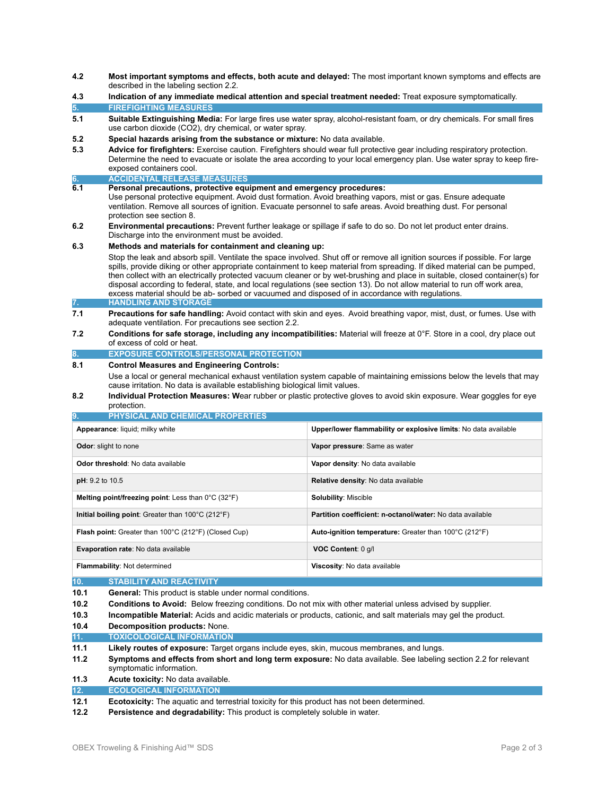- **4.2 Most important symptoms and effects, both acute and delayed:** The most important known symptoms and effects are described in the labeling section 2.2.
- **4.3 Indication of any immediate medical attention and special treatment needed:** Treat exposure symptomatically. **5. FIREFIGHTING MEASURES**
- **5.1 Suitable Extinguishing Media:** For large fires use water spray, alcohol-resistant foam, or dry chemicals. For small fires use carbon dioxide (CO2), dry chemical, or water spray.
- **5.2 Special hazards arising from the substance or mixture:** No data available.
- **5.3 Advice for firefighters:** Exercise caution. Firefighters should wear full protective gear including respiratory protection. Determine the need to evacuate or isolate the area according to your local emergency plan. Use water spray to keep fire exposed containers cool.
- **6. ACCIDENTAL RELEASE MEASURES**
- **6.1 Personal precautions, protective equipment and emergency procedures:**

Use personal protective equipment. Avoid dust formation. Avoid breathing vapors, mist or gas. Ensure adequate ventilation. Remove all sources of ignition. Evacuate personnel to safe areas. Avoid breathing dust. For personal protection see section 8.

**6.2 Environmental precautions:** Prevent further leakage or spillage if safe to do so. Do not let product enter drains. Discharge into the environment must be avoided.

#### **6.3 Methods and materials for containment and cleaning up:**

 Stop the leak and absorb spill. Ventilate the space involved. Shut off or remove all ignition sources if possible. For large spills, provide diking or other appropriate containment to keep material from spreading. If diked material can be pumped, then collect with an electrically protected vacuum cleaner or by wet-brushing and place in suitable, closed container(s) for disposal according to federal, state, and local regulations (see section 13). Do not allow material to run off work area, excess material should be ab- sorbed or vacuumed and disposed of in accordance with regulations. **7. HANDLING AND STORAGE** 

- **7.1 Precautions for safe handling:** Avoid contact with skin and eyes. Avoid breathing vapor, mist, dust, or fumes. Use with adequate ventilation. For precautions see section 2.2.
- **7.2 Conditions for safe storage, including any incompatibilities:** Material will freeze at 0°F. Store in a cool, dry place out of excess of cold or heat.

#### **EXPOSURE CONTROLS/PERSONAL PROTECTION**

#### **8.1 Control Measures and Engineering Controls:**

- Use a local or general mechanical exhaust ventilation system capable of maintaining emissions below the levels that may cause irritation. No data is available establishing biological limit values.
- **8.2 Individual Protection Measures: W**ear rubber or plastic protective gloves to avoid skin exposure. Wear goggles for eye protection.

| <b>PHYSICAL AND CHEMICAL PROPERTIES</b><br>9.                                  |                                                                 |  |  |  |
|--------------------------------------------------------------------------------|-----------------------------------------------------------------|--|--|--|
| Appearance: liquid; milky white                                                | Upper/lower flammability or explosive limits: No data available |  |  |  |
| <b>Odor:</b> slight to none                                                    | Vapor pressure: Same as water                                   |  |  |  |
| Odor threshold: No data available                                              | Vapor density: No data available                                |  |  |  |
| pH: 9.2 to 10.5                                                                | <b>Relative density:</b> No data available                      |  |  |  |
| <b>Melting point/freezing point:</b> Less than $0^{\circ}$ C (32 $^{\circ}$ F) | <b>Solubility: Miscible</b>                                     |  |  |  |
| Initial boiling point: Greater than $100^{\circ}$ C (212 $^{\circ}$ F)         | Partition coefficient: n-octanol/water: No data available       |  |  |  |
| <b>Flash point:</b> Greater than 100°C (212°F) (Closed Cup)                    | Auto-ignition temperature: Greater than 100°C (212°F)           |  |  |  |
| Evaporation rate: No data available                                            | VOC Content: 0 g/l                                              |  |  |  |
| <b>Flammability: Not determined</b>                                            | Viscosity: No data available                                    |  |  |  |
| 10.<br><b>STABILITY AND REACTIVITY</b>                                         |                                                                 |  |  |  |

#### **10.1 General:** This product is stable under normal conditions.

- **10.2 Conditions to Avoid:** Below freezing conditions. Do not mix with other material unless advised by supplier.
- **10.3 Incompatible Material:** Acids and acidic materials or products, cationic, and salt materials may gel the product.
- **10.4 Decomposition products:** None.
- **11. TOXICOLOGICAL INFORMATION**
- **11.1 Likely routes of exposure:** Target organs include eyes, skin, mucous membranes, and lungs.
- **11.2 Symptoms and effects from short and long term exposure:** No data available. See labeling section 2.2 for relevant symptomatic information.

### **11.3 Acute toxicity:** No data available.

### **12. ECOLOGICAL INFORMATION**

- **12.1 Ecotoxicity:** The aquatic and terrestrial toxicity for this product has not been determined.
- **12.2 Persistence and degradability:** This product is completely soluble in water.